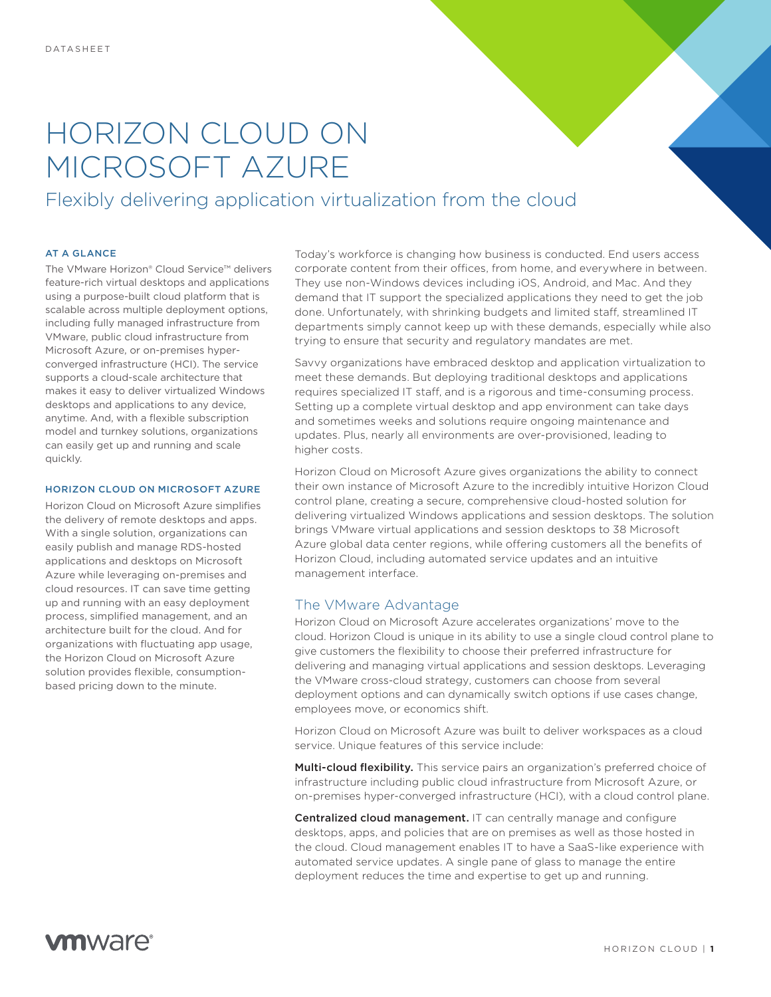# HORIZON CLOUD ON MICROSOFT AZURE

Flexibly delivering application virtualization from the cloud

#### AT A GLANCE

The VMware Horizon® Cloud Service™ delivers feature-rich virtual desktops and applications using a purpose-built cloud platform that is scalable across multiple deployment options, including fully managed infrastructure from VMware, public cloud infrastructure from Microsoft Azure, or on-premises hyperconverged infrastructure (HCI). The service supports a cloud-scale architecture that makes it easy to deliver virtualized Windows desktops and applications to any device, anytime. And, with a flexible subscription model and turnkey solutions, organizations can easily get up and running and scale quickly.

#### HORIZON CLOUD ON MICROSOFT AZURE

Horizon Cloud on Microsoft Azure simplifies the delivery of remote desktops and apps. With a single solution, organizations can easily publish and manage RDS-hosted applications and desktops on Microsoft Azure while leveraging on-premises and cloud resources. IT can save time getting up and running with an easy deployment process, simplified management, and an architecture built for the cloud. And for organizations with fluctuating app usage, the Horizon Cloud on Microsoft Azure solution provides flexible, consumptionbased pricing down to the minute.

Today's workforce is changing how business is conducted. End users access corporate content from their offices, from home, and everywhere in between. They use non-Windows devices including iOS, Android, and Mac. And they demand that IT support the specialized applications they need to get the job done. Unfortunately, with shrinking budgets and limited staff, streamlined IT departments simply cannot keep up with these demands, especially while also trying to ensure that security and regulatory mandates are met.

Savvy organizations have embraced desktop and application virtualization to meet these demands. But deploying traditional desktops and applications requires specialized IT staff, and is a rigorous and time-consuming process. Setting up a complete virtual desktop and app environment can take days and sometimes weeks and solutions require ongoing maintenance and updates. Plus, nearly all environments are over-provisioned, leading to higher costs.

Horizon Cloud on Microsoft Azure gives organizations the ability to connect their own instance of Microsoft Azure to the incredibly intuitive Horizon Cloud control plane, creating a secure, comprehensive cloud-hosted solution for delivering virtualized Windows applications and session desktops. The solution brings VMware virtual applications and session desktops to 38 Microsoft Azure global data center regions, while offering customers all the benefits of Horizon Cloud, including automated service updates and an intuitive management interface.

# The VMware Advantage

Horizon Cloud on Microsoft Azure accelerates organizations' move to the cloud. Horizon Cloud is unique in its ability to use a single cloud control plane to give customers the flexibility to choose their preferred infrastructure for delivering and managing virtual applications and session desktops. Leveraging the VMware cross-cloud strategy, customers can choose from several deployment options and can dynamically switch options if use cases change, employees move, or economics shift.

Horizon Cloud on Microsoft Azure was built to deliver workspaces as a cloud service. Unique features of this service include:

Multi-cloud flexibility. This service pairs an organization's preferred choice of infrastructure including public cloud infrastructure from Microsoft Azure, or on-premises hyper-converged infrastructure (HCI), with a cloud control plane.

Centralized cloud management. IT can centrally manage and configure desktops, apps, and policies that are on premises as well as those hosted in the cloud. Cloud management enables IT to have a SaaS-like experience with automated service updates. A single pane of glass to manage the entire deployment reduces the time and expertise to get up and running.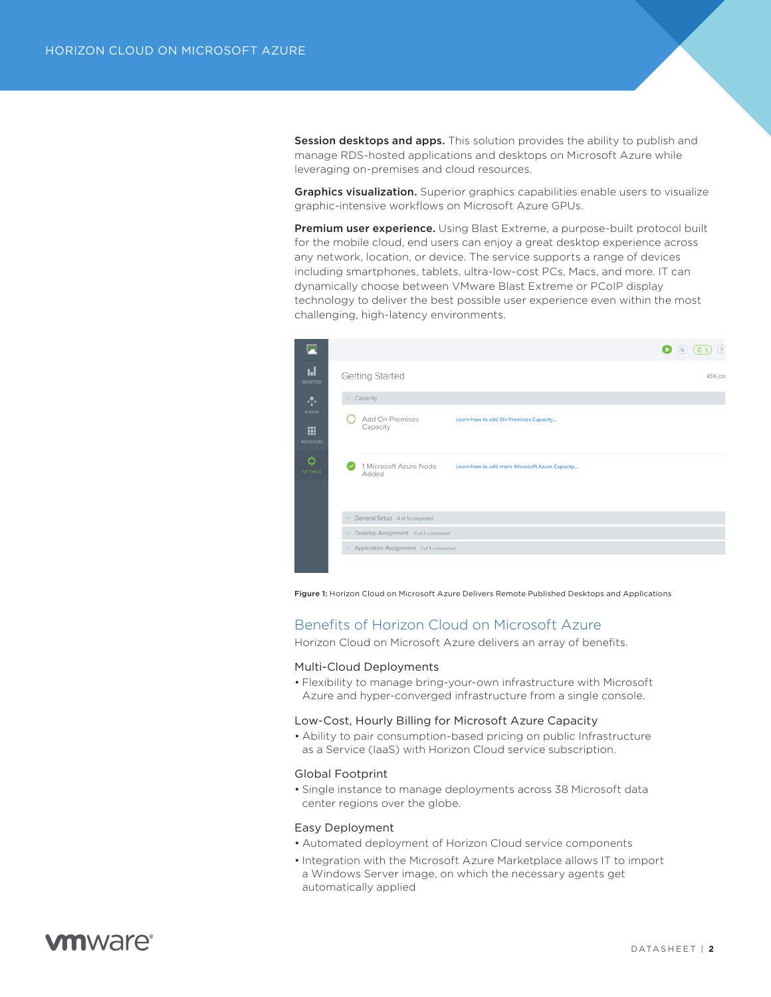Session desktops and apps. This solution provides the ability to publish and manage RDS-hosted applications and desktops on Microsoft Azure while leveraging on-premises and cloud resources.

**Graphics visualization.** Superior graphics capabilities enable users to visualize graphic-intensive workflows on Microsoft Azure GPUs.

Premium user experience. Using Blast Extreme, a purpose-built protocol built for the mobile cloud, end users can enjoy a great desktop experience across any network, location, or device. The service supports a range of devices including smartphones, tablets, ultra-low-cost PCs, Macs, and more. IT can dynamically choose between VMware Blast Extreme or PCoIP display technology to deliver the best possible user experience even within the most challenging, high-latency environments.

| 戸                                                               |                                                                                   | (2)<br>$\bullet$ (a)<br>$\triangle$ 3 |
|-----------------------------------------------------------------|-----------------------------------------------------------------------------------|---------------------------------------|
| Ы<br><b>MONITOR</b>                                             | <b>Getting Started</b>                                                            | 45% con                               |
| 小                                                               | $\land$ Capacity                                                                  |                                       |
| <b>ASSIGN</b><br>m<br><b>INVENTORY</b><br>¢۶<br><b>SETTINGS</b> | Add On-Premises<br>Learn how to add On-Premises Capacity<br>Capacity              |                                       |
|                                                                 | 1 Microsoft Azure Node<br>Learn how to add more Microsoft Azure Capacity<br>Added |                                       |
|                                                                 | $\vee$ General Setup 4 of 5 completed                                             |                                       |
|                                                                 | ▽ Desktop Assignment 0 of 2 completed                                             |                                       |
|                                                                 | V Application Assignment 1 of 4 completed                                         |                                       |
|                                                                 |                                                                                   |                                       |

Figure 1: Horizon Cloud on Microsoft Azure Delivers Remote Published Desktops and Applications

# Benefits of Horizon Cloud on Microsoft Azure

Horizon Cloud on Microsoft Azure delivers an array of benefits.

#### Multi-Cloud Deployments

• Flexibility to manage bring-your-own infrastructure with Microsoft Azure and hyper-converged infrastructure from a single console.

# Low-Cost, Hourly Billing for Microsoft Azure Capacity

• Ability to pair consumption-based pricing on public Infrastructure as a Service (IaaS) with Horizon Cloud service subscription.

#### Global Footprint

• Single instance to manage deployments across 38 Microsoft data center regions over the globe.

# Easy Deployment

- Automated deployment of Horizon Cloud service components
- Integration with the Microsoft Azure Marketplace allows IT to import a Windows Server image, on which the necessary agents get automatically applied